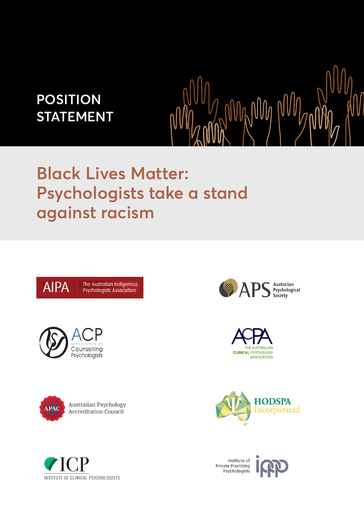## **POSITION STATEMENT**

# **Black Lives Matter: Psychologists take a stand against racism**









Institute of **Private Practising** Psychologists



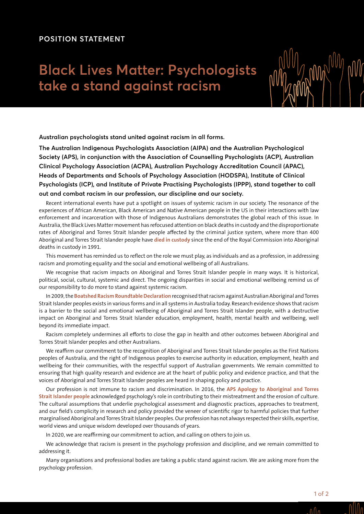### **POSITION STATEMENT**

### **Black Lives Matter: Psychologists take a stand against racism**



**Australian psychologists stand united against racism in all forms.**

**The Australian Indigenous Psychologists Association (AIPA) and the Australian Psychological Society (APS), in conjunction with the Association of Counselling Psychologists (ACP), Australian Clinical Psychology Association (ACPA), Australian Psychology Accreditation Council (APAC), Heads of Departments and Schools of Psychology Association (HODSPA), Institute of Clinical Psychologists (ICP), and Institute of Private Practising Psychologists (IPPP), stand together to call out and combat racism in our profession, our discipline and our society.**

Recent international events have put a spotlight on issues of systemic racism in our society. The resonance of the experiences of African American, Black American and Native American people in the US in their interactions with law enforcement and incarceration with those of Indigenous Australians demonstrates the global reach of this issue. In Australia, the Black Lives Matter movement has refocused attention on black deaths in custody and the disproportionate rates of Aboriginal and Torres Strait Islander people affected by the criminal justice system, where more than 400 Aboriginal and Torres Strait Islander people have **[died in custody](https://www.theguardian.com/australia-news/ng-interactive/2018/aug/28/deaths-inside-indigenous-australian-deaths-in-custody)** since the end of the Royal Commission into Aboriginal deaths in custody in 1991.

This movement has reminded us to reflect on the role we must play, as individuals and as a profession, in addressing racism and promoting equality and the social and emotional wellbeing of all Australians.

We recognise that racism impacts on Aboriginal and Torres Strait Islander people in many ways. It is historical, political, social, cultural, systemic and direct. The ongoing disparities in social and emotional wellbeing remind us of our responsibility to do more to stand against systemic racism.

In 2009, the **[Boatshed Racism Roundtable Declaration](https://www.telethonkids.org.au/globalassets/media/documents/aboriginal-health/working-together-second-edition/the-boatshed-racism-roundtable-declaration.pdf)** recognised that racism against Australian Aboriginal and Torres Strait Islander peoples exists in various forms and in all systems in Australia today. Research evidence shows that racism is a barrier to the social and emotional wellbeing of Aboriginal and Torres Strait Islander people, with a destructive impact on Aboriginal and Torres Strait Islander education, employment, health, mental health and wellbeing, well beyond its immediate impact.

Racism completely undermines all efforts to close the gap in health and other outcomes between Aboriginal and Torres Strait Islander peoples and other Australians.

We reaffirm our commitment to the recognition of Aboriginal and Torres Strait Islander peoples as the First Nations peoples of Australia, and the right of Indigenous peoples to exercise authority in education, employment, health and wellbeing for their communities, with the respectful support of Australian governments. We remain committed to ensuring that high quality research and evidence are at the heart of public policy and evidence practice, and that the voices of Aboriginal and Torres Strait Islander peoples are heard in shaping policy and practice.

Our profession is not immune to racism and discrimination. In 2016, the **[APS Apology to Aboriginal and Torres](https://www.psychology.org.au/About-Us/who-we-are/reconciliation-and-the-APS/APS-apology)  [Strait Islander people](https://www.psychology.org.au/About-Us/who-we-are/reconciliation-and-the-APS/APS-apology)** acknowledged psychology's role in contributing to their mistreatment and the erosion of culture. The cultural assumptions that underlie psychological assessment and diagnostic practices, approaches to treatment, and our field's complicity in research and policy provided the veneer of scientific rigor to harmful policies that further marginalised Aboriginal and Torres Strait Islander peoples. Our profession has not always respected their skills, expertise, world views and unique wisdom developed over thousands of years.

In 2020, we are reaffirming our commitment to action, and calling on others to join us.

We acknowledge that racism is present in the psychology profession and discipline, and we remain committed to addressing it.

Many organisations and professional bodies are taking a public stand against racism. We are asking more from the psychology profession.

 $n \Lambda$